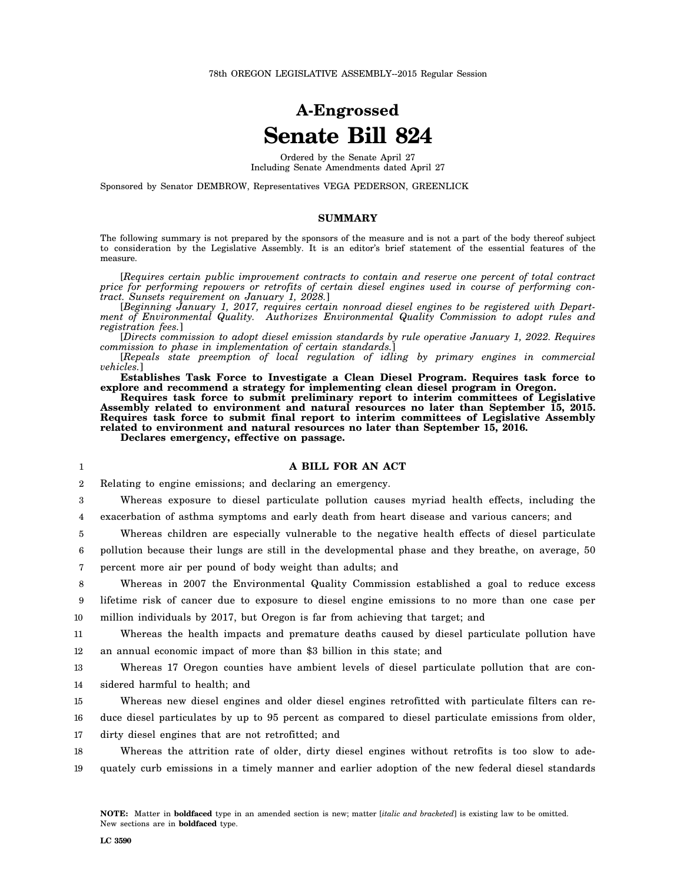## **A-Engrossed Senate Bill 824**

Ordered by the Senate April 27 Including Senate Amendments dated April 27

Sponsored by Senator DEMBROW, Representatives VEGA PEDERSON, GREENLICK

## **SUMMARY**

The following summary is not prepared by the sponsors of the measure and is not a part of the body thereof subject to consideration by the Legislative Assembly. It is an editor's brief statement of the essential features of the measure.

[*Requires certain public improvement contracts to contain and reserve one percent of total contract price for performing repowers or retrofits of certain diesel engines used in course of performing contract. Sunsets requirement on January 1, 2028.*]

[*Beginning January 1, 2017, requires certain nonroad diesel engines to be registered with Department of Environmental Quality. Authorizes Environmental Quality Commission to adopt rules and registration fees.*]

[*Directs commission to adopt diesel emission standards by rule operative January 1, 2022. Requires commission to phase in implementation of certain standards.*]

[*Repeals state preemption of local regulation of idling by primary engines in commercial vehicles.*]

**Establishes Task Force to Investigate a Clean Diesel Program. Requires task force to explore and recommend a strategy for implementing clean diesel program in Oregon.**

**Requires task force to submit preliminary report to interim committees of Legislative Assembly related to environment and natural resources no later than September 15, 2015. Requires task force to submit final report to interim committees of Legislative Assembly related to environment and natural resources no later than September 15, 2016.**

**Declares emergency, effective on passage.**

## **A BILL FOR AN ACT**

2 Relating to engine emissions; and declaring an emergency.

3 4 Whereas exposure to diesel particulate pollution causes myriad health effects, including the exacerbation of asthma symptoms and early death from heart disease and various cancers; and

5 Whereas children are especially vulnerable to the negative health effects of diesel particulate

6 7 pollution because their lungs are still in the developmental phase and they breathe, on average, 50 percent more air per pound of body weight than adults; and

8 9 Whereas in 2007 the Environmental Quality Commission established a goal to reduce excess lifetime risk of cancer due to exposure to diesel engine emissions to no more than one case per

10 million individuals by 2017, but Oregon is far from achieving that target; and

11 12 Whereas the health impacts and premature deaths caused by diesel particulate pollution have an annual economic impact of more than \$3 billion in this state; and

13 14 Whereas 17 Oregon counties have ambient levels of diesel particulate pollution that are considered harmful to health; and

15 Whereas new diesel engines and older diesel engines retrofitted with particulate filters can re-

16 17 duce diesel particulates by up to 95 percent as compared to diesel particulate emissions from older, dirty diesel engines that are not retrofitted; and

18 19 Whereas the attrition rate of older, dirty diesel engines without retrofits is too slow to adequately curb emissions in a timely manner and earlier adoption of the new federal diesel standards

1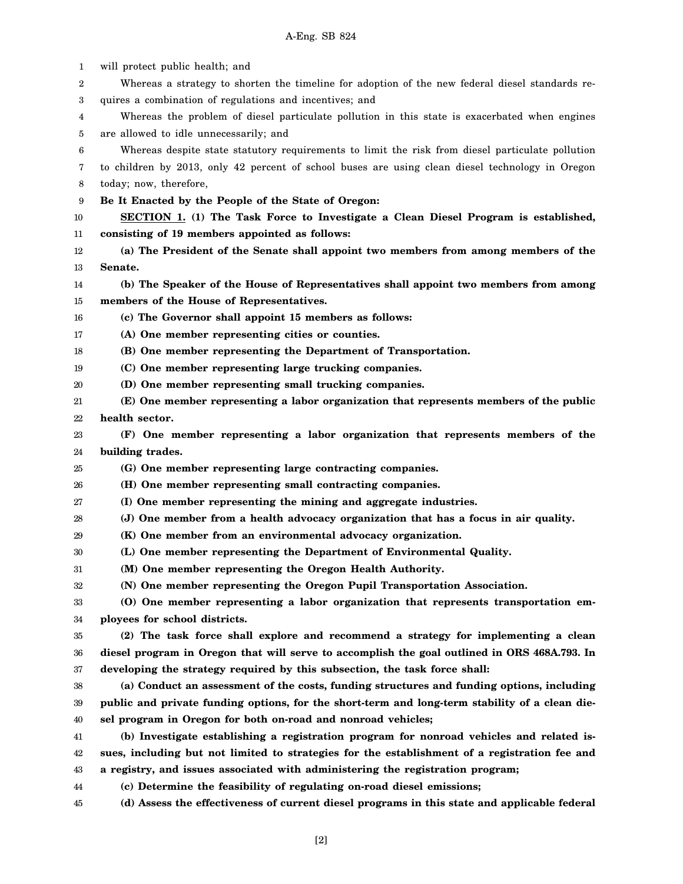| 1      | will protect public health; and                                                                  |
|--------|--------------------------------------------------------------------------------------------------|
| 2      | Whereas a strategy to shorten the timeline for adoption of the new federal diesel standards re-  |
| 3      | quires a combination of regulations and incentives; and                                          |
| 4      | Whereas the problem of diesel particulate pollution in this state is exacerbated when engines    |
| 5      | are allowed to idle unnecessarily; and                                                           |
| 6      | Whereas despite state statutory requirements to limit the risk from diesel particulate pollution |
| 7      | to children by 2013, only 42 percent of school buses are using clean diesel technology in Oregon |
| 8      | today; now, therefore,                                                                           |
| 9      | Be It Enacted by the People of the State of Oregon:                                              |
| 10     | <b>SECTION 1.</b> (1) The Task Force to Investigate a Clean Diesel Program is established,       |
| 11     | consisting of 19 members appointed as follows:                                                   |
| 12     | (a) The President of the Senate shall appoint two members from among members of the              |
| 13     | Senate.                                                                                          |
| 14     | (b) The Speaker of the House of Representatives shall appoint two members from among             |
| 15     | members of the House of Representatives.                                                         |
| 16     | (c) The Governor shall appoint 15 members as follows:                                            |
| 17     | (A) One member representing cities or counties.                                                  |
| 18     | (B) One member representing the Department of Transportation.                                    |
| 19     | (C) One member representing large trucking companies.                                            |
| 20     | (D) One member representing small trucking companies.                                            |
| 21     | (E) One member representing a labor organization that represents members of the public           |
| 22     | health sector.                                                                                   |
| 23     | (F) One member representing a labor organization that represents members of the                  |
| 24     | building trades.                                                                                 |
| 25     | (G) One member representing large contracting companies.                                         |
| 26     | (H) One member representing small contracting companies.                                         |
| 27     | (I) One member representing the mining and aggregate industries.                                 |
| 28     | (J) One member from a health advocacy organization that has a focus in air quality.              |
| 29     | (K) One member from an environmental advocacy organization.                                      |
| $30\,$ | (L) One member representing the Department of Environmental Quality.                             |
| 31     | (M) One member representing the Oregon Health Authority.                                         |
| 32     | (N) One member representing the Oregon Pupil Transportation Association.                         |
| 33     | (O) One member representing a labor organization that represents transportation em-              |
| 34     | ployees for school districts.                                                                    |
| 35     | (2) The task force shall explore and recommend a strategy for implementing a clean               |
| 36     | diesel program in Oregon that will serve to accomplish the goal outlined in ORS 468A.793. In     |
| 37     | developing the strategy required by this subsection, the task force shall:                       |
| 38     | (a) Conduct an assessment of the costs, funding structures and funding options, including        |
| 39     | public and private funding options, for the short-term and long-term stability of a clean die-   |
| 40     | sel program in Oregon for both on-road and nonroad vehicles;                                     |
| 41     | (b) Investigate establishing a registration program for nonroad vehicles and related is-         |
| 42     | sues, including but not limited to strategies for the establishment of a registration fee and    |
| 43     | a registry, and issues associated with administering the registration program;                   |
| 44     | (c) Determine the feasibility of regulating on-road diesel emissions;                            |
| 45     | (d) Assess the effectiveness of current diesel programs in this state and applicable federal     |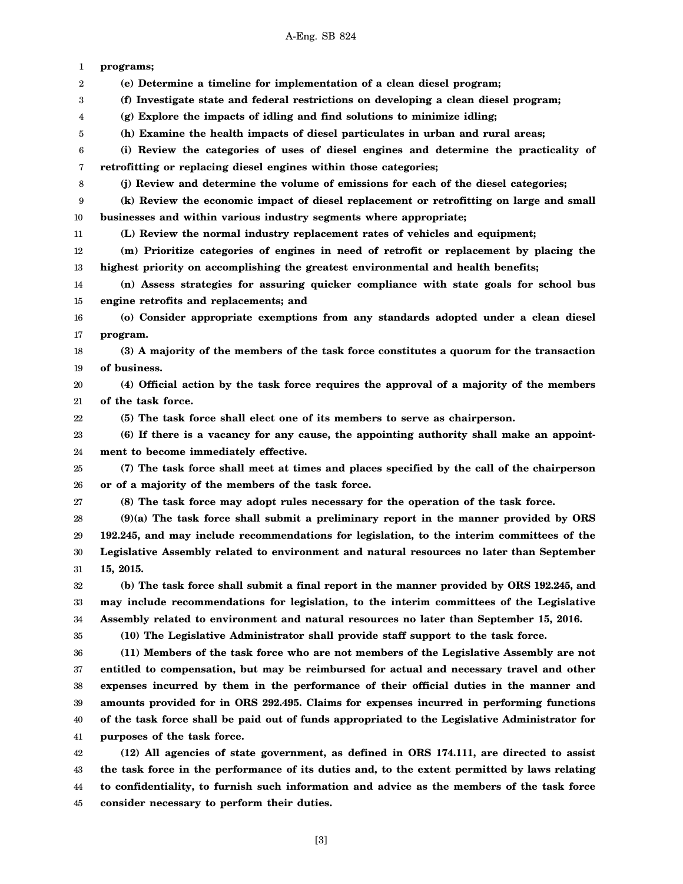| 1<br>2<br>3<br>4<br>5<br>6<br>7<br>8<br>9<br>10<br>11<br>12<br>13<br>14<br>15<br>16<br>17<br>18<br>19<br>20<br>21 | programs;<br>(e) Determine a timeline for implementation of a clean diesel program;<br>(f) Investigate state and federal restrictions on developing a clean diesel program;<br>(g) Explore the impacts of idling and find solutions to minimize idling;<br>(h) Examine the health impacts of diesel particulates in urban and rural areas;<br>(i) Review the categories of uses of diesel engines and determine the practicality of<br>retrofitting or replacing diesel engines within those categories; |
|-------------------------------------------------------------------------------------------------------------------|----------------------------------------------------------------------------------------------------------------------------------------------------------------------------------------------------------------------------------------------------------------------------------------------------------------------------------------------------------------------------------------------------------------------------------------------------------------------------------------------------------|
|                                                                                                                   |                                                                                                                                                                                                                                                                                                                                                                                                                                                                                                          |
|                                                                                                                   |                                                                                                                                                                                                                                                                                                                                                                                                                                                                                                          |
|                                                                                                                   |                                                                                                                                                                                                                                                                                                                                                                                                                                                                                                          |
|                                                                                                                   |                                                                                                                                                                                                                                                                                                                                                                                                                                                                                                          |
|                                                                                                                   |                                                                                                                                                                                                                                                                                                                                                                                                                                                                                                          |
|                                                                                                                   |                                                                                                                                                                                                                                                                                                                                                                                                                                                                                                          |
|                                                                                                                   |                                                                                                                                                                                                                                                                                                                                                                                                                                                                                                          |
|                                                                                                                   | (j) Review and determine the volume of emissions for each of the diesel categories;                                                                                                                                                                                                                                                                                                                                                                                                                      |
|                                                                                                                   | (k) Review the economic impact of diesel replacement or retrofitting on large and small                                                                                                                                                                                                                                                                                                                                                                                                                  |
|                                                                                                                   | businesses and within various industry segments where appropriate;                                                                                                                                                                                                                                                                                                                                                                                                                                       |
|                                                                                                                   | (L) Review the normal industry replacement rates of vehicles and equipment;                                                                                                                                                                                                                                                                                                                                                                                                                              |
|                                                                                                                   | (m) Prioritize categories of engines in need of retrofit or replacement by placing the                                                                                                                                                                                                                                                                                                                                                                                                                   |
|                                                                                                                   | highest priority on accomplishing the greatest environmental and health benefits;                                                                                                                                                                                                                                                                                                                                                                                                                        |
|                                                                                                                   | (n) Assess strategies for assuring quicker compliance with state goals for school bus                                                                                                                                                                                                                                                                                                                                                                                                                    |
|                                                                                                                   | engine retrofits and replacements; and                                                                                                                                                                                                                                                                                                                                                                                                                                                                   |
|                                                                                                                   | (o) Consider appropriate exemptions from any standards adopted under a clean diesel                                                                                                                                                                                                                                                                                                                                                                                                                      |
|                                                                                                                   | program.                                                                                                                                                                                                                                                                                                                                                                                                                                                                                                 |
|                                                                                                                   | (3) A majority of the members of the task force constitutes a quorum for the transaction                                                                                                                                                                                                                                                                                                                                                                                                                 |
|                                                                                                                   | of business.                                                                                                                                                                                                                                                                                                                                                                                                                                                                                             |
|                                                                                                                   | (4) Official action by the task force requires the approval of a majority of the members                                                                                                                                                                                                                                                                                                                                                                                                                 |
|                                                                                                                   | of the task force.                                                                                                                                                                                                                                                                                                                                                                                                                                                                                       |
| 22                                                                                                                | (5) The task force shall elect one of its members to serve as chairperson.                                                                                                                                                                                                                                                                                                                                                                                                                               |
| 23                                                                                                                | (6) If there is a vacancy for any cause, the appointing authority shall make an appoint-                                                                                                                                                                                                                                                                                                                                                                                                                 |
| 24                                                                                                                | ment to become immediately effective.                                                                                                                                                                                                                                                                                                                                                                                                                                                                    |
| 25                                                                                                                | (7) The task force shall meet at times and places specified by the call of the chairperson                                                                                                                                                                                                                                                                                                                                                                                                               |
| 26                                                                                                                | or of a majority of the members of the task force.                                                                                                                                                                                                                                                                                                                                                                                                                                                       |
| 27                                                                                                                | (8) The task force may adopt rules necessary for the operation of the task force.                                                                                                                                                                                                                                                                                                                                                                                                                        |
| 28                                                                                                                | $(9)(a)$ The task force shall submit a preliminary report in the manner provided by ORS                                                                                                                                                                                                                                                                                                                                                                                                                  |
| 29                                                                                                                | 192.245, and may include recommendations for legislation, to the interim committees of the                                                                                                                                                                                                                                                                                                                                                                                                               |
| 30                                                                                                                | Legislative Assembly related to environment and natural resources no later than September                                                                                                                                                                                                                                                                                                                                                                                                                |
| 31                                                                                                                | 15, 2015.                                                                                                                                                                                                                                                                                                                                                                                                                                                                                                |
| 32                                                                                                                | (b) The task force shall submit a final report in the manner provided by ORS 192.245, and                                                                                                                                                                                                                                                                                                                                                                                                                |
| 33                                                                                                                | may include recommendations for legislation, to the interim committees of the Legislative                                                                                                                                                                                                                                                                                                                                                                                                                |
| 34                                                                                                                | Assembly related to environment and natural resources no later than September 15, 2016.                                                                                                                                                                                                                                                                                                                                                                                                                  |
| 35                                                                                                                | (10) The Legislative Administrator shall provide staff support to the task force.                                                                                                                                                                                                                                                                                                                                                                                                                        |
| 36                                                                                                                | (11) Members of the task force who are not members of the Legislative Assembly are not                                                                                                                                                                                                                                                                                                                                                                                                                   |
| 37                                                                                                                | entitled to compensation, but may be reimbursed for actual and necessary travel and other                                                                                                                                                                                                                                                                                                                                                                                                                |
| 38                                                                                                                | expenses incurred by them in the performance of their official duties in the manner and                                                                                                                                                                                                                                                                                                                                                                                                                  |
| 39                                                                                                                | amounts provided for in ORS 292.495. Claims for expenses incurred in performing functions                                                                                                                                                                                                                                                                                                                                                                                                                |
| 40                                                                                                                | of the task force shall be paid out of funds appropriated to the Legislative Administrator for                                                                                                                                                                                                                                                                                                                                                                                                           |
| 41                                                                                                                | purposes of the task force.                                                                                                                                                                                                                                                                                                                                                                                                                                                                              |
| 42                                                                                                                | (12) All agencies of state government, as defined in ORS 174.111, are directed to assist                                                                                                                                                                                                                                                                                                                                                                                                                 |
| 43                                                                                                                |                                                                                                                                                                                                                                                                                                                                                                                                                                                                                                          |
| 44                                                                                                                |                                                                                                                                                                                                                                                                                                                                                                                                                                                                                                          |
| consider necessary to perform their duties.<br>45                                                                 | the task force in the performance of its duties and, to the extent permitted by laws relating<br>to confidentiality, to furnish such information and advice as the members of the task force                                                                                                                                                                                                                                                                                                             |